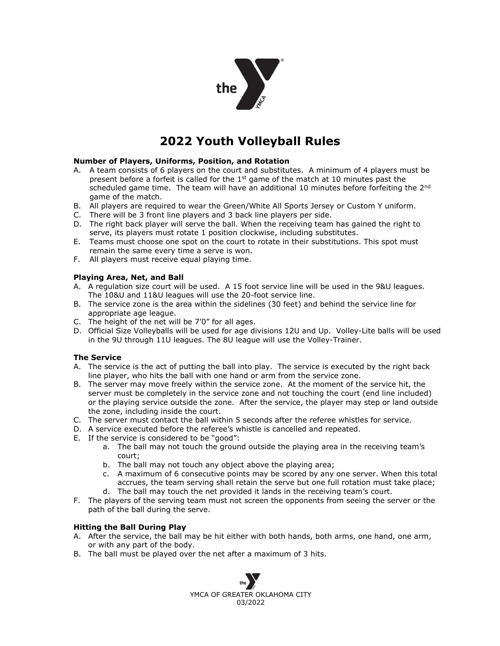

# **2022 Youth Volleyball Rules**

### **Number of Players, Uniforms, Position, and Rotation**

- A. A team consists of 6 players on the court and substitutes. A minimum of 4 players must be present before a forfeit is called for the  $1<sup>st</sup>$  game of the match at 10 minutes past the scheduled game time. The team will have an additional 10 minutes before forfeiting the 2<sup>nd</sup> game of the match.
- B. All players are required to wear the Green/White All Sports Jersey or Custom Y uniform.
- C. There will be 3 front line players and 3 back line players per side.
- D. The right back player will serve the ball. When the receiving team has gained the right to serve, its players must rotate 1 position clockwise, including substitutes.
- E. Teams must choose one spot on the court to rotate in their substitutions. This spot must remain the same every time a serve is won.
- F. All players must receive equal playing time.

#### **Playing Area, Net, and Ball**

- A. A regulation size court will be used. A 15 foot service line will be used in the 9&U leagues. The 10&U and 11&U leagues will use the 20-foot service line.
- B. The service zone is the area within the sidelines (30 feet) and behind the service line for appropriate age league.
- C. The height of the net will be 7'0" for all ages.
- D. Official Size Volleyballs will be used for age divisions 12U and Up. Volley-Lite balls will be used in the 9U through 11U leagues. The 8U league will use the Volley-Trainer.

### **The Service**

- A. The service is the act of putting the ball into play. The service is executed by the right back line player, who hits the ball with one hand or arm from the service zone.
- B. The server may move freely within the service zone. At the moment of the service hit, the server must be completely in the service zone and not touching the court (end line included) or the playing service outside the zone. After the service, the player may step or land outside the zone, including inside the court.
- C. The server must contact the ball within 5 seconds after the referee whistles for service.
- D. A service executed before the referee's whistle is cancelled and repeated.
- E. If the service is considered to be "good":
	- a. The ball may not touch the ground outside the playing area in the receiving team's court;
	- b. The ball may not touch any object above the playing area;
	- c. A maximum of 6 consecutive points may be scored by any one server. When this total accrues, the team serving shall retain the serve but one full rotation must take place;
	- d. The ball may touch the net provided it lands in the receiving team's court.
- F. The players of the serving team must not screen the opponents from seeing the server or the path of the ball during the serve.

### **Hitting the Ball During Play**

- A. After the service, the ball may be hit either with both hands, both arms, one hand, one arm, or with any part of the body.
- B. The ball must be played over the net after a maximum of 3 hits.